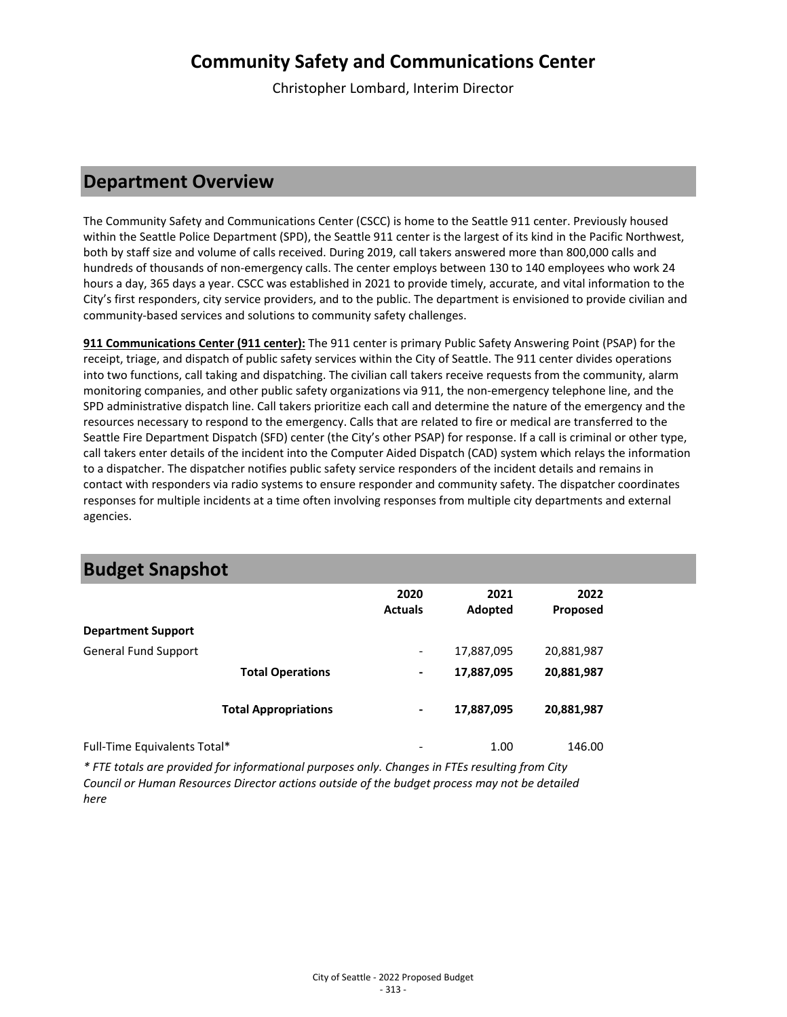Christopher Lombard, Interim Director

### **Department Overview**

The Community Safety and Communications Center (CSCC) is home to the Seattle 911 center. Previously housed within the Seattle Police Department (SPD), the Seattle 911 center is the largest of its kind in the Pacific Northwest, both by staff size and volume of calls received. During 2019, call takers answered more than 800,000 calls and hundreds of thousands of non-emergency calls. The center employs between 130 to 140 employees who work 24 hours a day, 365 days a year. CSCC was established in 2021 to provide timely, accurate, and vital information to the City's first responders, city service providers, and to the public. The department is envisioned to provide civilian and community-based services and solutions to community safety challenges.

**911 Communications Center (911 center):** The 911 center is primary Public Safety Answering Point (PSAP) for the receipt, triage, and dispatch of public safety services within the City of Seattle. The 911 center divides operations into two functions, call taking and dispatching. The civilian call takers receive requests from the community, alarm monitoring companies, and other public safety organizations via 911, the non-emergency telephone line, and the SPD administrative dispatch line. Call takers prioritize each call and determine the nature of the emergency and the resources necessary to respond to the emergency. Calls that are related to fire or medical are transferred to the Seattle Fire Department Dispatch (SFD) center (the City's other PSAP) for response. If a call is criminal or other type, call takers enter details of the incident into the Computer Aided Dispatch (CAD) system which relays the information to a dispatcher. The dispatcher notifies public safety service responders of the incident details and remains in contact with responders via radio systems to ensure responder and community safety. The dispatcher coordinates responses for multiple incidents at a time often involving responses from multiple city departments and external agencies.

|                              |                             | 2020<br><b>Actuals</b>   | 2021<br>Adopted | 2022<br>Proposed |  |
|------------------------------|-----------------------------|--------------------------|-----------------|------------------|--|
| <b>Department Support</b>    |                             |                          |                 |                  |  |
| <b>General Fund Support</b>  |                             | $\overline{\phantom{a}}$ | 17,887,095      | 20,881,987       |  |
|                              | <b>Total Operations</b>     | $\blacksquare$           | 17,887,095      | 20,881,987       |  |
|                              | <b>Total Appropriations</b> | $\blacksquare$           | 17,887,095      | 20,881,987       |  |
| Full-Time Equivalents Total* |                             | $\overline{\phantom{a}}$ | 1.00            | 146.00           |  |

### **Budget Snapshot**

*\* FTE totals are provided for informational purposes only. Changes in FTEs resulting from City Council or Human Resources Director actions outside of the budget process may not be detailed here*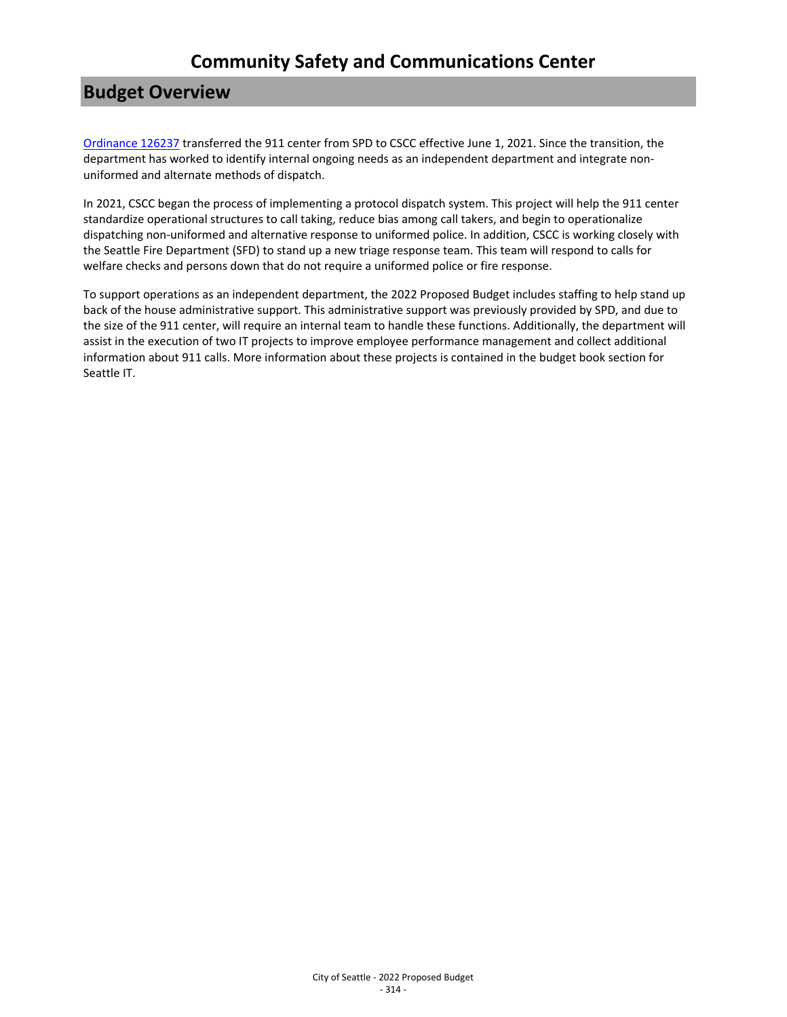## **Budget Overview**

[Ordinance 126237](https://seattle.legistar.com/LegislationDetail.aspx?ID=4940984&GUID=4E519AC2-0750-4936-91D4-13CD9C63AF03) transferred the 911 center from SPD to CSCC effective June 1, 2021. Since the transition, the department has worked to identify internal ongoing needs as an independent department and integrate nonuniformed and alternate methods of dispatch.

In 2021, CSCC began the process of implementing a protocol dispatch system. This project will help the 911 center standardize operational structures to call taking, reduce bias among call takers, and begin to operationalize dispatching non-uniformed and alternative response to uniformed police. In addition, CSCC is working closely with the Seattle Fire Department (SFD) to stand up a new triage response team. This team will respond to calls for welfare checks and persons down that do not require a uniformed police or fire response.

To support operations as an independent department, the 2022 Proposed Budget includes staffing to help stand up back of the house administrative support. This administrative support was previously provided by SPD, and due to the size of the 911 center, will require an internal team to handle these functions. Additionally, the department will assist in the execution of two IT projects to improve employee performance management and collect additional information about 911 calls. More information about these projects is contained in the budget book section for Seattle IT.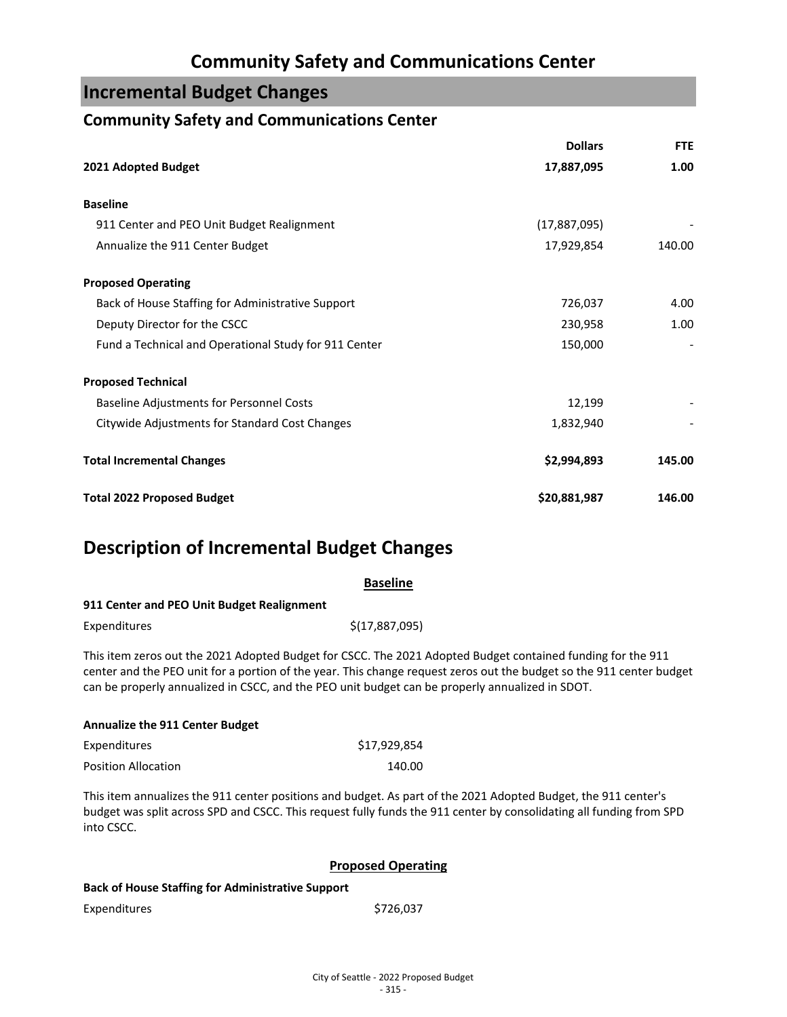## **Incremental Budget Changes**

### **Community Safety and Communications Center**

|                                                       | <b>Dollars</b> | <b>FTE</b> |
|-------------------------------------------------------|----------------|------------|
| 2021 Adopted Budget                                   | 17,887,095     | 1.00       |
| <b>Baseline</b>                                       |                |            |
| 911 Center and PEO Unit Budget Realignment            | (17,887,095)   |            |
| Annualize the 911 Center Budget                       | 17,929,854     | 140.00     |
| <b>Proposed Operating</b>                             |                |            |
| Back of House Staffing for Administrative Support     | 726,037        | 4.00       |
| Deputy Director for the CSCC                          | 230,958        | 1.00       |
| Fund a Technical and Operational Study for 911 Center | 150,000        |            |
| <b>Proposed Technical</b>                             |                |            |
| <b>Baseline Adjustments for Personnel Costs</b>       | 12,199         |            |
| Citywide Adjustments for Standard Cost Changes        | 1,832,940      |            |
| <b>Total Incremental Changes</b>                      | \$2,994,893    | 145.00     |
| <b>Total 2022 Proposed Budget</b>                     | \$20,881,987   | 146.00     |

## **Description of Incremental Budget Changes**

| <b>Baseline</b>                                                                                 |                                                                                                                                                                                                                                     |  |  |
|-------------------------------------------------------------------------------------------------|-------------------------------------------------------------------------------------------------------------------------------------------------------------------------------------------------------------------------------------|--|--|
| 911 Center and PEO Unit Budget Realignment                                                      |                                                                                                                                                                                                                                     |  |  |
| Expenditures                                                                                    | \$(17,887,095)                                                                                                                                                                                                                      |  |  |
| can be properly annualized in CSCC, and the PEO unit budget can be properly annualized in SDOT. | This item zeros out the 2021 Adopted Budget for CSCC. The 2021 Adopted Budget contained funding for the 911<br>center and the PEO unit for a portion of the year. This change request zeros out the budget so the 911 center budget |  |  |

| <b>Annualize the 911 Center Budget</b> |              |
|----------------------------------------|--------------|
| Expenditures                           | \$17,929,854 |
| <b>Position Allocation</b>             | 140.00       |

This item annualizes the 911 center positions and budget. As part of the 2021 Adopted Budget, the 911 center's budget was split across SPD and CSCC. This request fully funds the 911 center by consolidating all funding from SPD into CSCC.

#### **Proposed Operating**

Expenditures \$726,037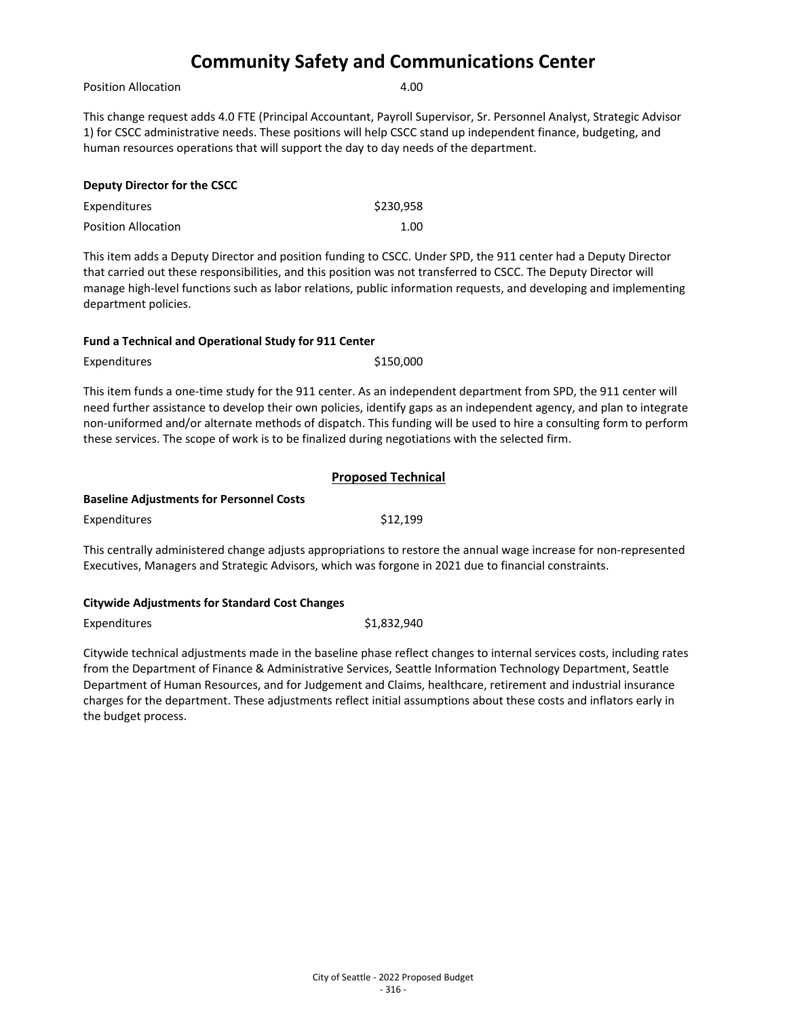Position Allocation **4.00** 

This change request adds 4.0 FTE (Principal Accountant, Payroll Supervisor, Sr. Personnel Analyst, Strategic Advisor 1) for CSCC administrative needs. These positions will help CSCC stand up independent finance, budgeting, and human resources operations that will support the day to day needs of the department.

| <b>Deputy Director for the CSCC</b> |           |
|-------------------------------------|-----------|
| <b>Expenditures</b>                 | \$230.958 |
| <b>Position Allocation</b>          | 1.00      |

This item adds a Deputy Director and position funding to CSCC. Under SPD, the 911 center had a Deputy Director that carried out these responsibilities, and this position was not transferred to CSCC. The Deputy Director will manage high-level functions such as labor relations, public information requests, and developing and implementing department policies.

#### **Fund a Technical and Operational Study for 911 Center**

Expenditures \$150,000

This item funds a one-time study for the 911 center. As an independent department from SPD, the 911 center will need further assistance to develop their own policies, identify gaps as an independent agency, and plan to integrate non-uniformed and/or alternate methods of dispatch. This funding will be used to hire a consulting form to perform these services. The scope of work is to be finalized during negotiations with the selected firm.

|--|

#### **Baseline Adjustments for Personnel Costs**

This centrally administered change adjusts appropriations to restore the annual wage increase for non-represented Executives, Managers and Strategic Advisors, which was forgone in 2021 due to financial constraints.

#### **Citywide Adjustments for Standard Cost Changes**

| Expenditures | \$1,832,940 |
|--------------|-------------|
|--------------|-------------|

Citywide technical adjustments made in the baseline phase reflect changes to internal services costs, including rates from the Department of Finance & Administrative Services, Seattle Information Technology Department, Seattle Department of Human Resources, and for Judgement and Claims, healthcare, retirement and industrial insurance charges for the department. These adjustments reflect initial assumptions about these costs and inflators early in the budget process.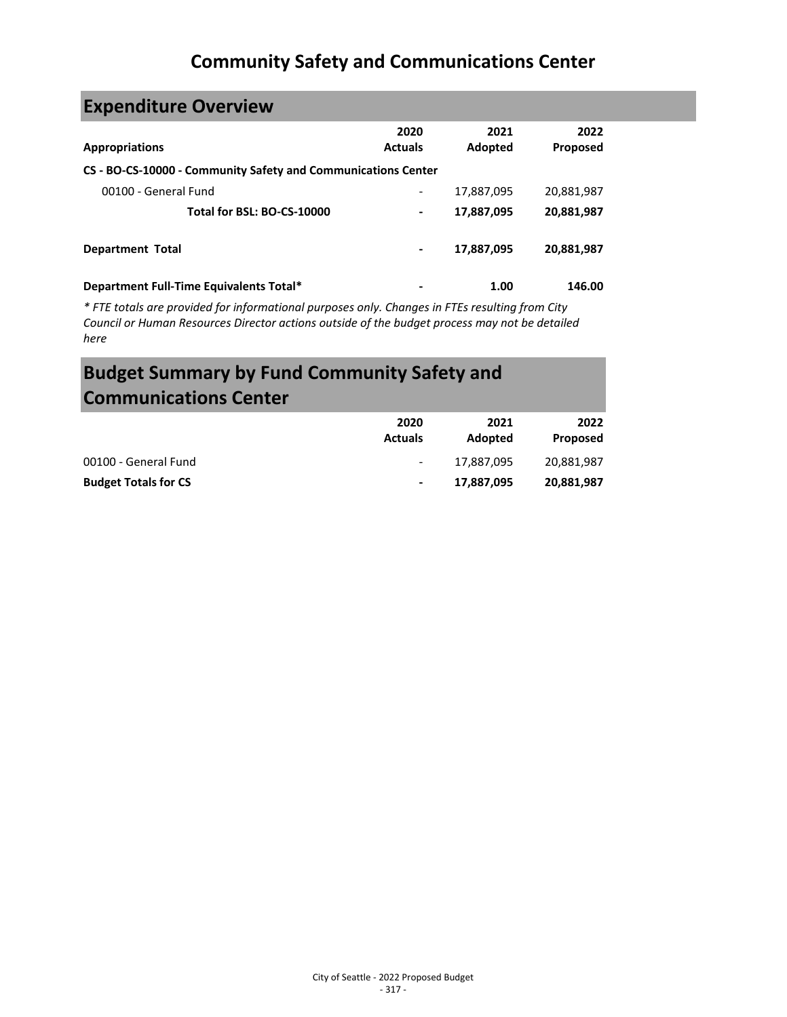# **Expenditure Overview**

| <b>Appropriations</b>                                         | 2020<br><b>Actuals</b> | 2021<br>Adopted | 2022<br><b>Proposed</b> |
|---------------------------------------------------------------|------------------------|-----------------|-------------------------|
| CS - BO-CS-10000 - Community Safety and Communications Center |                        |                 |                         |
| 00100 - General Fund                                          |                        | 17,887,095      | 20,881,987              |
| Total for BSL: BO-CS-10000                                    | ۰                      | 17,887,095      | 20,881,987              |
| <b>Department Total</b>                                       | ۰                      | 17,887,095      | 20,881,987              |
| Department Full-Time Equivalents Total*                       |                        | 1.00            | 146.00                  |

*\* FTE totals are provided for informational purposes only. Changes in FTEs resulting from City Council or Human Resources Director actions outside of the budget process may not be detailed here*

# **Budget Summary by Fund Community Safety and Communications Center**

|                             | 2020<br><b>Actuals</b>   | 2021<br>Adopted | 2022<br>Proposed |
|-----------------------------|--------------------------|-----------------|------------------|
| 00100 - General Fund        | $\overline{\phantom{a}}$ | 17.887.095      | 20,881,987       |
| <b>Budget Totals for CS</b> | $\blacksquare$           | 17.887.095      | 20,881,987       |